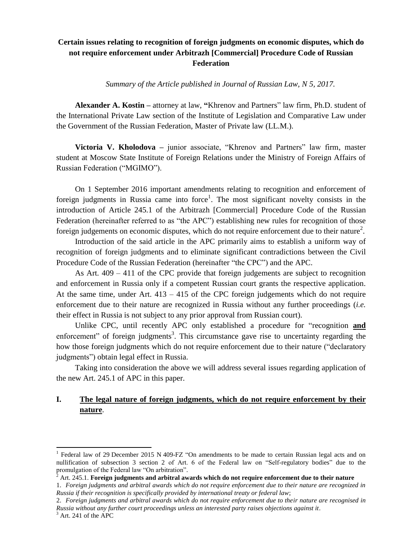## **Certain issues relating to recognition of foreign judgments on economic disputes, which do not require enforcement under Arbitrazh [Commercial] Procedure Code of Russian Federation**

*Summary of the Article published in Journal of Russian Law, N 5, 2017.*

**Alexander A. Kostin –** attorney at law, **"**Khrenov and Partners" law firm, Ph.D. student of the International Private Law section of the Institute of Legislation and Comparative Law under the Government of the Russian Federation, Master of Private law (LL.M.).

**Victoria V. Kholodova –** junior associate, "Khrenov and Partners" law firm, master student at Moscow State Institute of Foreign Relations under the Ministry of Foreign Affairs of Russian Federation ("MGIMO").

On 1 September 2016 important amendments relating to recognition and enforcement of foreign judgments in Russia came into force<sup>1</sup>. The most significant novelty consists in the introduction of Article 245.1 of the Arbitrazh [Commercial] Procedure Code of the Russian Federation (hereinafter referred to as "the APC") establishing new rules for recognition of those foreign judgements on economic disputes, which do not require enforcement due to their nature<sup>2</sup>.

Introduction of the said article in the APC primarily aims to establish a uniform way of recognition of foreign judgments and to eliminate significant contradictions between the Civil Procedure Code of the Russian Federation (hereinafter "the CPC") and the APC.

As Art. 409 – 411 of the CPC provide that foreign judgements are subject to recognition and enforcement in Russia only if a competent Russian court grants the respective application. At the same time, under Art.  $413 - 415$  of the CPC foreign judgements which do not require enforcement due to their nature are recognized in Russia without any further proceedings (*i.e.* their effect in Russia is not subject to any prior approval from Russian court).

Unlike CPC, until recently APC only established a procedure for "recognition **and** enforcement" of foreign judgments<sup>3</sup>. This circumstance gave rise to uncertainty regarding the how those foreign judgments which do not require enforcement due to their nature ("declaratory judgments") obtain legal effect in Russia.

Taking into consideration the above we will address several issues regarding application of the new Art. 245.1 of APC in this paper.

## **I. The legal nature of foreign judgments, which do not require enforcement by their nature**.

**.** 

<sup>&</sup>lt;sup>1</sup> Federal law of 29 December 2015 N 409-FZ "On amendments to be made to certain Russian legal acts and on nullification of subsection 3 section 2 of Art. 6 of the Federal law on "Self-regulatory bodies" due to the promulgation of the Federal law "On arbitration".

 $^{\hat{2}}$  Art. 245.1. **Foreign judgments and arbitral awards which do not require enforcement due to their nature** 

<sup>1.</sup> *Foreign judgments and arbitral awards which do not require enforcement due to their nature are recognized in Russia if their recognition is specifically provided by international treaty or federal law*;

<sup>2.</sup> *Foreign judgments and arbitral awards which do not require enforcement due to their nature are recognised in Russia without any further court proceedings unless an interested party raises objections against it*.

 $3$  Art. 241 of the APC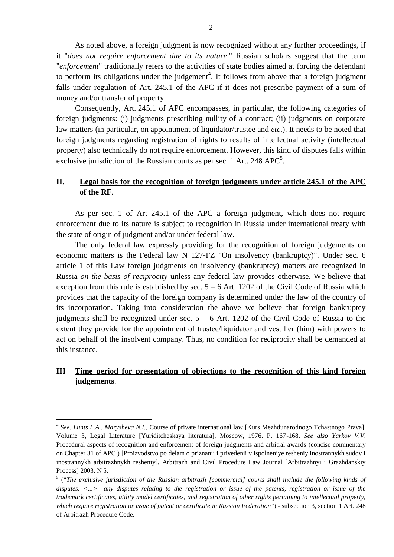As noted above, a foreign judgment is now recognized without any further proceedings, if it "*does not require enforcement due to its nature*." Russian scholars suggest that the term "*enforcement*" traditionally refers to the activities of state bodies aimed at forcing the defendant to perform its obligations under the judgement<sup>4</sup>. It follows from above that a foreign judgment falls under regulation of Art. 245.1 of the APC if it does not prescribe payment of a sum of money and/or transfer of property.

Consequently, Art. 245.1 of APC encompasses, in particular, the following categories of foreign judgments: (i) judgments prescribing nullity of a contract; (ii) judgments on corporate law matters (in particular, on appointment of liquidator/trustee and *etc*.). It needs to be noted that foreign judgments regarding registration of rights to results of intellectual activity (intellectual property) also technically do not require enforcement. However, this kind of disputes falls within exclusive jurisdiction of the Russian courts as per sec. 1 Art. 248  $APC^5$ .

## **II. Legal basis for the recognition of foreign judgments under article 245.1 of the APC of the RF**.

As per sec. 1 of Art 245.1 of the APC a foreign judgment, which does not require enforcement due to its nature is subject to recognition in Russia under international treaty with the state of origin of judgment and/or under federal law.

The only federal law expressly providing for the recognition of foreign judgements on economic matters is the Federal law N 127-FZ "On insolvency (bankruptcy)". Under sec. 6 article 1 of this Law foreign judgments on insolvency (bankruptcy) matters are recognized in Russia *on the basis of reciprocity* unless any federal law provides otherwise. We believe that exception from this rule is established by sec.  $5 - 6$  Art. 1202 of the Civil Code of Russia which provides that the capacity of the foreign company is determined under the law of the country of its incorporation. Taking into consideration the above we believe that foreign bankruptcy judgments shall be recognized under sec.  $5 - 6$  Art. 1202 of the Civil Code of Russia to the extent they provide for the appointment of trustee/liquidator and vest her (him) with powers to act on behalf of the insolvent company. Thus, no condition for reciprocity shall be demanded at this instance.

## **III Time period for presentation of objections to the recognition of this kind foreign judgements**.

**.** 

<sup>4</sup> *See. Lunts L.A., Marysheva N.I.,* Course of private international law [Kurs Mezhdunarodnogo Tchastnogo Prava], Volume 3, Legal Literature [Yuriditcheskaya literatura], Moscow, 1976. P. 167-168. *See also Yarkov V.V*. Procedural aspects of recognition and enforcement of foreign judgments and arbitral awards (concise commentary on Chapter 31 of APC ) [Proizvodstvo po delam o priznanii i privedenii v ispolneniye resheniy inostrannykh sudov i inostrannykh arbitrazhnykh resheniy], Arbitrazh and Civil Procedure Law Journal [Arbitrazhnyi i Grazhdanskiy Process] 2003, N 5.

<sup>&</sup>lt;sup>5</sup> ("The exclusive jurisdiction of the Russian arbitrazh [commercial] courts shall include the following kinds of *disputes: <...> any disputes relating to the registration or issue of the patents, registration or issue of the trademark certificates, utility model certificates, and registration of other rights pertaining to intellectual property, which require registration or issue of patent or certificate in Russian Federation*").- subsection 3, section 1 Art. 248 of Arbitrazh Procedure Code.